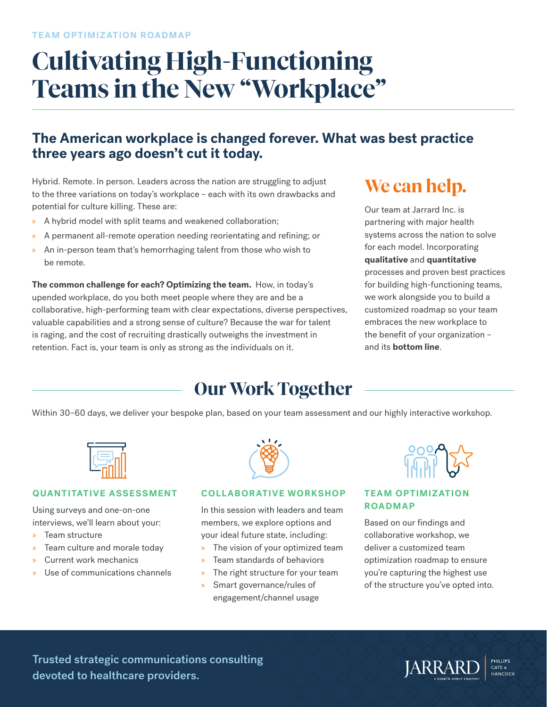# **Cultivating High-Functioning Teams in the New "Workplace"**

### **The American workplace is changed forever. What was best practice three years ago doesn't cut it today.**

Hybrid. Remote. In person. Leaders across the nation are struggling to adjust to the three variations on today's workplace – each with its own drawbacks and potential for culture killing. These are:

- » A hybrid model with split teams and weakened collaboration;
- » A permanent all-remote operation needing reorientating and refining; or
- » An in-person team that's hemorrhaging talent from those who wish to be remote.

**The common challenge for each? Optimizing the team.** How, in today's upended workplace, do you both meet people where they are and be a collaborative, high-performing team with clear expectations, diverse perspectives, valuable capabilities and a strong sense of culture? Because the war for talent is raging, and the cost of recruiting drastically outweighs the investment in retention. Fact is, your team is only as strong as the individuals on it.

# **We can help.**

Our team at Jarrard Inc. is partnering with major health systems across the nation to solve for each model. Incorporating **qualitative** and **quantitative** processes and proven best practices for building high-functioning teams, we work alongside you to build a customized roadmap so your team embraces the new workplace to the benefit of your organization – and its **bottom line**.

### **Our Work Together**

Within 30–60 days, we deliver your bespoke plan, based on your team assessment and our highly interactive workshop.



#### **QUANTITATIVE ASSESSMENT**

Using surveys and one-on-one interviews, we'll learn about your:

- » Team structure
- » Team culture and morale today
- » Current work mechanics
- Use of communications channels



#### **COLLABORATIVE WORKSHOP**

In this session with leaders and team members, we explore options and your ideal future state, including:

- » The vision of your optimized team
- » Team standards of behaviors
- The right structure for your team
- » Smart governance/rules of engagement/channel usage



#### **TEAM OPTIMIZATION ROADMAP**

Based on our findings and collaborative workshop, we deliver a customized team optimization roadmap to ensure you're capturing the highest use of the structure you've opted into.

Trusted strategic communications consulting devoted to healthcare providers.